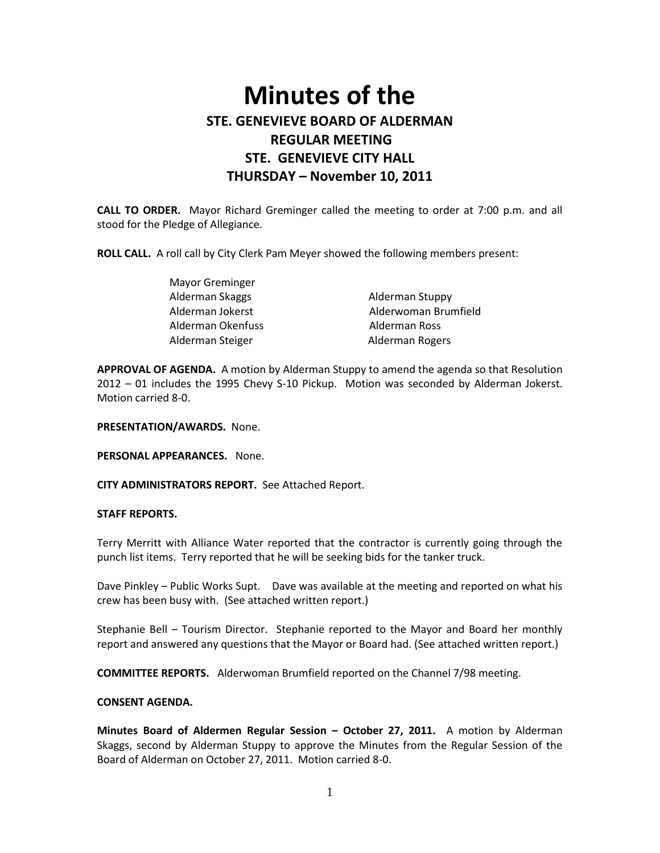# **Minutes of the STE. GENEVIEVE BOARD OF ALDERMAN REGULAR MEETING STE. GENEVIEVE CITY HALL THURSDAY – November 10, 2011**

**CALL TO ORDER.** Mayor Richard Greminger called the meeting to order at 7:00 p.m. and all stood for the Pledge of Allegiance.

**ROLL CALL.** A roll call by City Clerk Pam Meyer showed the following members present:

| <b>Mayor Greminger</b> |                      |
|------------------------|----------------------|
| Alderman Skaggs        | Alderman Stuppy      |
| Alderman Jokerst       | Alderwoman Brumfield |
| Alderman Okenfuss      | Alderman Ross        |
| Alderman Steiger       | Alderman Rogers      |

**APPROVAL OF AGENDA.** A motion by Alderman Stuppy to amend the agenda so that Resolution 2012 – 01 includes the 1995 Chevy S-10 Pickup. Motion was seconded by Alderman Jokerst. Motion carried 8-0.

**PRESENTATION/AWARDS.** None.

**PERSONAL APPEARANCES.** None.

**CITY ADMINISTRATORS REPORT.** See Attached Report.

#### **STAFF REPORTS.**

Terry Merritt with Alliance Water reported that the contractor is currently going through the punch list items. Terry reported that he will be seeking bids for the tanker truck.

Dave Pinkley – Public Works Supt. Dave was available at the meeting and reported on what his crew has been busy with. (See attached written report.)

Stephanie Bell – Tourism Director. Stephanie reported to the Mayor and Board her monthly report and answered any questions that the Mayor or Board had. (See attached written report.)

**COMMITTEE REPORTS.** Alderwoman Brumfield reported on the Channel 7/98 meeting.

#### **CONSENT AGENDA.**

**Minutes Board of Aldermen Regular Session – October 27, 2011.** A motion by Alderman Skaggs, second by Alderman Stuppy to approve the Minutes from the Regular Session of the Board of Alderman on October 27, 2011. Motion carried 8-0.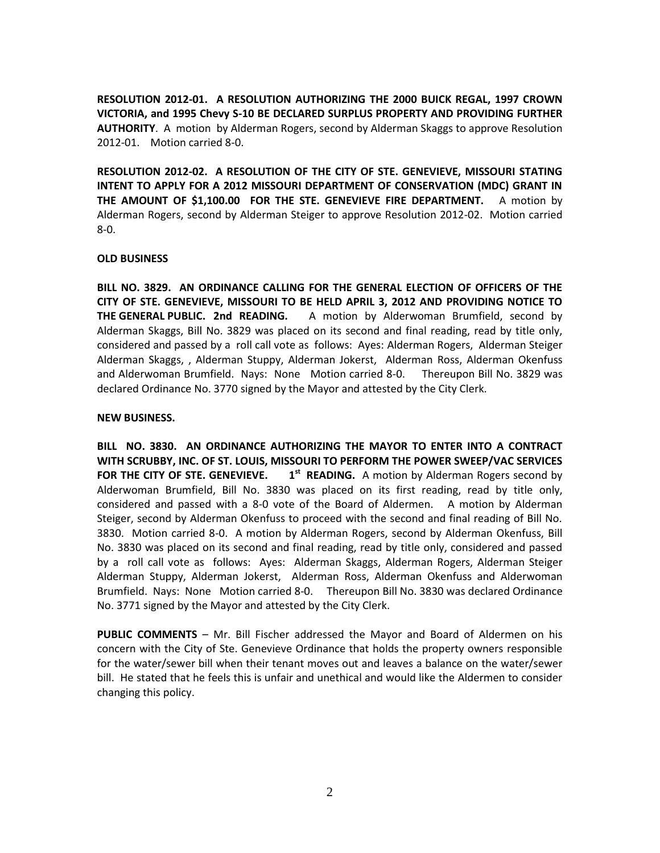**RESOLUTION 2012-01. A RESOLUTION AUTHORIZING THE 2000 BUICK REGAL, 1997 CROWN VICTORIA, and 1995 Chevy S-10 BE DECLARED SURPLUS PROPERTY AND PROVIDING FURTHER AUTHORITY**. A motion by Alderman Rogers, second by Alderman Skaggs to approve Resolution 2012-01. Motion carried 8-0.

**RESOLUTION 2012-02. A RESOLUTION OF THE CITY OF STE. GENEVIEVE, MISSOURI STATING INTENT TO APPLY FOR A 2012 MISSOURI DEPARTMENT OF CONSERVATION (MDC) GRANT IN THE AMOUNT OF \$1,100.00 FOR THE STE. GENEVIEVE FIRE DEPARTMENT.** A motion by Alderman Rogers, second by Alderman Steiger to approve Resolution 2012-02. Motion carried 8-0.

## **OLD BUSINESS**

**BILL NO. 3829. AN ORDINANCE CALLING FOR THE GENERAL ELECTION OF OFFICERS OF THE CITY OF STE. GENEVIEVE, MISSOURI TO BE HELD APRIL 3, 2012 AND PROVIDING NOTICE TO THE GENERAL PUBLIC. 2nd READING.** A motion by Alderwoman Brumfield, second by Alderman Skaggs, Bill No. 3829 was placed on its second and final reading, read by title only, considered and passed by a roll call vote as follows: Ayes: Alderman Rogers, Alderman Steiger Alderman Skaggs, , Alderman Stuppy, Alderman Jokerst, Alderman Ross, Alderman Okenfuss and Alderwoman Brumfield. Nays: None Motion carried 8-0. Thereupon Bill No. 3829 was declared Ordinance No. 3770 signed by the Mayor and attested by the City Clerk.

## **NEW BUSINESS.**

**BILL NO. 3830. AN ORDINANCE AUTHORIZING THE MAYOR TO ENTER INTO A CONTRACT WITH SCRUBBY, INC. OF ST. LOUIS, MISSOURI TO PERFORM THE POWER SWEEP/VAC SERVICES**  FOR THE CITY OF STE. GENEVIEVE. 1<sup>st</sup> READING. A motion by Alderman Rogers second by Alderwoman Brumfield, Bill No. 3830 was placed on its first reading, read by title only, considered and passed with a 8-0 vote of the Board of Aldermen. A motion by Alderman Steiger, second by Alderman Okenfuss to proceed with the second and final reading of Bill No. 3830. Motion carried 8-0. A motion by Alderman Rogers, second by Alderman Okenfuss, Bill No. 3830 was placed on its second and final reading, read by title only, considered and passed by a roll call vote as follows: Ayes: Alderman Skaggs, Alderman Rogers, Alderman Steiger Alderman Stuppy, Alderman Jokerst, Alderman Ross, Alderman Okenfuss and Alderwoman Brumfield. Nays: None Motion carried 8-0. Thereupon Bill No. 3830 was declared Ordinance No. 3771 signed by the Mayor and attested by the City Clerk.

**PUBLIC COMMENTS** – Mr. Bill Fischer addressed the Mayor and Board of Aldermen on his concern with the City of Ste. Genevieve Ordinance that holds the property owners responsible for the water/sewer bill when their tenant moves out and leaves a balance on the water/sewer bill. He stated that he feels this is unfair and unethical and would like the Aldermen to consider changing this policy.